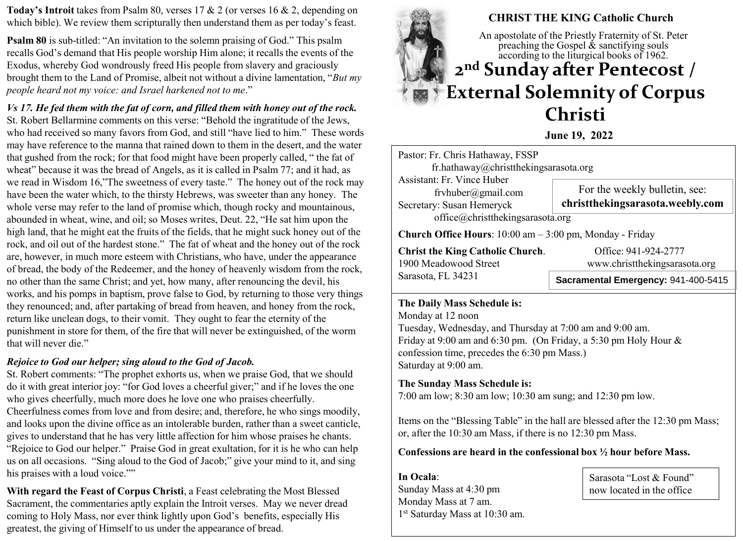**Today's Introit** takes from Psalm 80, verses 17 & 2 (or verses 16 & 2, depending on which bible). We review them scripturally then understand them as per today's feast.

**Psalm 80** is sub-titled: "An invitation to the solemn praising of God." This psalm recalls God's demand that His people worship Him alone; it recalls the events of the Exodus, whereby God wondrously freed His people from slavery and graciously brought them to the Land of Promise, albeit not without a divine lamentation, "*But my people heard not my voice: and Israel harkened not to me*."

*Vs 17. He fed them with the fat of corn, and filled them with honey out of the rock.*  St. Robert Bellarmine comments on this verse: "Behold the ingratitude of the Jews, who had received so many favors from God, and still "have lied to him." These words may have reference to the manna that rained down to them in the desert, and the water that gushed from the rock; for that food might have been properly called, " the fat of wheat" because it was the bread of Angels, as it is called in Psalm 77; and it had, as we read in Wisdom 16,"The sweetness of every taste." The honey out of the rock may have been the water which, to the thirsty Hebrews, was sweeter than any honey. The whole verse may refer to the land of promise which, though rocky and mountainous, abounded in wheat, wine, and oil; so Moses writes, Deut. 22, "He sat him upon the high land, that he might eat the fruits of the fields, that he might suck honey out of the rock, and oil out of the hardest stone." The fat of wheat and the honey out of the rock are, however, in much more esteem with Christians, who have, under the appearance of bread, the body of the Redeemer, and the honey of heavenly wisdom from the rock, no other than the same Christ; and yet, how many, after renouncing the devil, his works, and his pomps in baptism, prove false to God, by returning to those very things they renounced; and, after partaking of bread from heaven, and honey from the rock, return like unclean dogs, to their vomit. They ought to fear the eternity of the punishment in store for them, of the fire that will never be extinguished, of the worm that will never die."

## *Rejoice to God our helper; sing aloud to the God of Jacob.*

St. Robert comments: "The prophet exhorts us, when we praise God, that we should do it with great interior joy: "for God loves a cheerful giver;" and if he loves the one who gives cheerfully, much more does he love one who praises cheerfully.

Cheerfulness comes from love and from desire; and, therefore, he who sings moodily, and looks upon the divine office as an intolerable burden, rather than a sweet canticle, gives to understand that he has very little affection for him whose praises he chants. "Rejoice to God our helper." Praise God in great exultation, for it is he who can help us on all occasions. "Sing aloud to the God of Jacob;" give your mind to it, and sing his praises with a loud voice.""

**With regard the Feast of Corpus Christi**, a Feast celebrating the Most Blessed Sacrament, the commentaries aptly explain the Introit verses. May we never dread coming to Holy Mass, nor ever think lightly upon God's benefits, especially His greatest, the giving of Himself to us under the appearance of bread.



**June 19, 2022**

Pastor: Fr. Chris Hathaway, FSSP fr.hathaway@christthekingsarasota.org Assistant: Fr. Vince Huber frvhuber@gmail.com Secretary: Susan Hemeryck office@christthekingsarasota.org **Church Office Hours**: 10:00 am – 3:00 pm, Monday - Friday For the weekly bulletin, see: **christthekingsarasota.weebly.com**

**Christ the King Catholic Church.** Office: 941-924-2777 1900 Meadowood Street www.christthekingsarasota.org Sarasota, FL 34231

**Sacramental Emergency:** 941-400-5415

## **The Daily Mass Schedule is:**

Monday at 12 noon Tuesday, Wednesday, and Thursday at 7:00 am and 9:00 am. Friday at 9:00 am and 6:30 pm. (On Friday, a 5:30 pm Holy Hour & confession time, precedes the 6:30 pm Mass.) Saturday at 9:00 am.

# **The Sunday Mass Schedule is:**

7:00 am low; 8:30 am low; 10:30 am sung; and 12:30 pm low.

Items on the "Blessing Table" in the hall are blessed after the 12:30 pm Mass; or, after the 10:30 am Mass, if there is no 12:30 pm Mass.

**Confessions are heard in the confessional box ½ hour before Mass.** 

**In Ocala**: Sunday Mass at 4:30 pm Monday Mass at 7 am. 1 st Saturday Mass at 10:30 am. Sarasota "Lost & Found" now located in the office